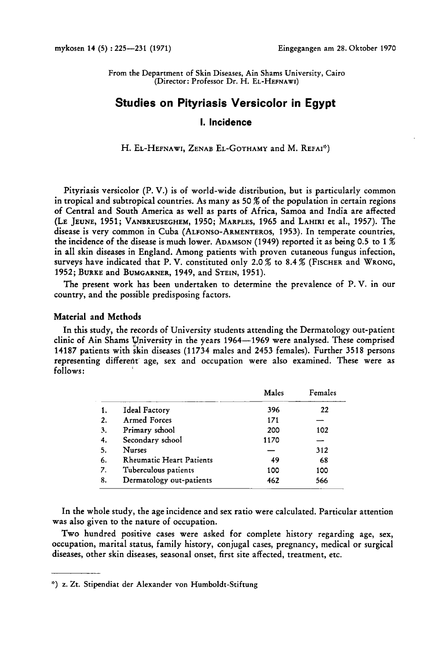From the Department of Skin Diseases, Ain Shams University, Cairo (Director: Professor Dr. H. EL-HEFNAWI)

# **Studies on Pityriasis Versicolor in Egypt**

## **1. Incidence**

H. EL-HEFNAWI, ZENAB EL-GOTHAMY and M. REFAI<sup>\*</sup>)

Pityriasis versicolor (P. V.) is of world-wide distribution, but is particularly common in tropical and subtropical countries. As many as **50** % of the population in certain regions of Central and South America as well as parts of Africa, Samoa and India are affected (LE JEUNE, **1951;** VANBREUSEGHEM, **1950;** MARPLES, **1965** and LAHIRI et al., **1957).** The disease is very common in Cuba (ALFONSO-ARMENTEROS, **1953).** In temperate countries, the incidence of the disease is much lower. ADAMSON **(1949)** reported it as being 0.5 to **1** % in all skin diseases in England. Among patients with proven cutaneous fungus infection, surveys have indicated that P. V. constituted only 2.0 % to **8.4** % (FISCHER and WRONG, **1952;** BURKE and BUMGARNER, **1949,** and STEIN, **1951).** 

The present work has been undertaken to determine the prevalence of P.V. in our country, and the possible predisposing factors.

## Material and Methods

In this study, the records of University students attending the Dermatology out-patient clinic of Ain Shams Yniversity in the years **1964-1969** were analysed. These comprised **14187** patients with skin diseases **(11734** males and **2453** females). Further **3518** persons representing different age, sex and occupation were also examined. These were as follows:

|                |                                 | Males | Females |
|----------------|---------------------------------|-------|---------|
| 1.             | Ideal Factory                   | 396   | 22      |
| $\overline{2}$ | <b>Armed Forces</b>             | 171   |         |
| 3.             | Primary school                  | 200   | 102     |
| 4.             | Secondary school                | 1170  |         |
| 5.             | <b>Nurses</b>                   |       | 312     |
| 6.             | <b>Rheumatic Heart Patients</b> | 49    | 68      |
| 7.             | Tuberculous patients            | 100   | 100     |
| 8.             | Dermatology out-patients        | 462   | 566     |

In the whole study, the age incidence and sex ratio were calculated. Particular attention was also given to the nature of occupation.

Two hundred positive cases were asked for complete history regarding age, sex, occupation, marital status, family history, conjugal cases, pregnancy, medical or surgical diseases, other skin diseases, seasonal onset, first site affected, treatment, etc.

<sup>:\*)</sup> **z.** Zt. Stipendiat der Alexander von Humboldt-Stiftung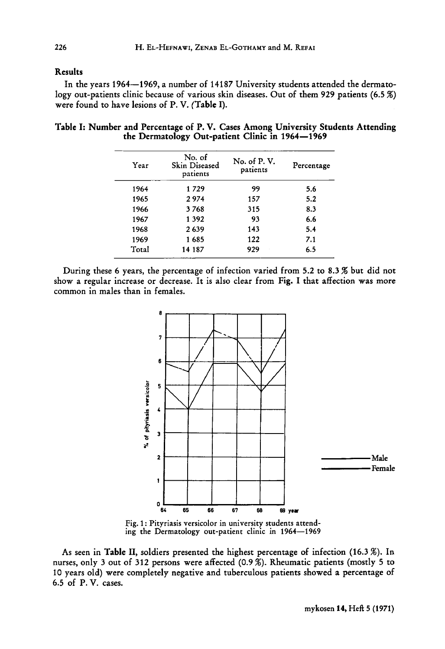## Results

In the years **1964-1969,** a number of **14187** University students attended the dermatology out-patients clinic because of various skin diseases. Out of them **929** patients **(6.5** *X)*  were found to have lesions of P. V. (Table I).

| Year  | No. of<br>Skin Diseased<br>patients | No. of P.V.<br>patients | Percentage |
|-------|-------------------------------------|-------------------------|------------|
| 1964  | 1729                                | 99                      | 5.6        |
| 1965  | 2974                                | 157                     | 5.2        |
| 1966  | 3768                                | 315                     | 8.3        |
| 1967  | 1 3 9 2                             | 93                      | 6.6        |
| 1968  | 2639                                | 143                     | 5.4        |
| 1969  | 1685                                | 122                     | 7.1        |
| Total | 14 187                              | 929                     | 6.5        |

Table I: Number and Percentage of P. **V.** Cases Among University Students Attending the Dermatology Out-patient Clinic in **1964-1969** 

During these **6** years, the percentage of infection varied from **5.2** to **8.3** % but did not show a regular increase or decrease. It is also clear from Fig. I that affection was more common in males than in females.



Fig. **1** : Pityriasis versicolor in university students attending the Dermatology out-patient clinic in **1964-1969** 

As seen in Table **11,** soldiers presented the highest percentage of infection **(16.3** %). In nurses, only **3** out of **312** persons were affected **(0.9** %). Rheumatic patients (mostly **5** to **10** years old) were completely negative and tuberculous patients showed a percentage of **6.5** of P. **V.** cases.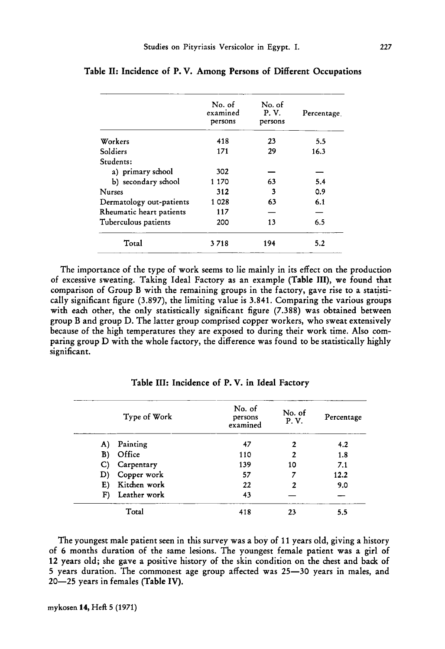|                          | No. of<br>examined<br>persons | No. of<br>P.V.<br>persons | Percentage |
|--------------------------|-------------------------------|---------------------------|------------|
| Workers                  | 418                           | 23                        | 5.5        |
| Soldiers                 | 171                           | 29                        | 16.3       |
| Students:                |                               |                           |            |
| a) primary school        | 302                           |                           |            |
| b) secondary school      | 1 170                         | 63                        | 5.4        |
| <b>Nurses</b>            | 312                           | 3                         | 0.9        |
| Dermatology out-patients | 1 028                         | 63                        | 6.1        |
| Rheumatic heart patients | 117                           |                           |            |
| Tuberculous patients     | 200                           | 13                        | 6.5        |
| Total                    | 3718                          | 194                       | 5.2        |

|  |  |  |  |  |  |  |  |  |  | Table II: Incidence of P. V. Among Persons of Different Occupations |
|--|--|--|--|--|--|--|--|--|--|---------------------------------------------------------------------|
|--|--|--|--|--|--|--|--|--|--|---------------------------------------------------------------------|

The importance of the type of work seems to lie mainly in its effect on the production of excessive sweating. Taking Ideal Factory as an example (Table III), we found that comparison of Group B with the remaining groups in the factory, gave rise to a statistically significant figure **(3.897),** the limiting value is **3.841.** Comparing the various groups with each other, the only statistically significant figure **(7.388)** was obtained between group B and group D. The latter group comprised copper workers, who sweat extensively because of the high temperatures they are exposed to during their work time. Also comparing group D with the whole factory, the difference was found to be statistically highly significant.

|              | Type of Work   | No. of<br>persons<br>examined | No. of<br>P.V. | Percentage |
|--------------|----------------|-------------------------------|----------------|------------|
| A)           | Painting       | 47                            | 2              | 4.2        |
| B)           | Office         | 110                           | 2              | 1.8        |
| $\mathbf{C}$ | Carpentary     | 139                           | 10             | 7.1        |
|              | D) Copper work | 57                            |                | 12.2       |
| E)           | Kitchen work   | 22                            | 2              | 9.0        |
| F)           | Leather work   | 43                            |                |            |
|              | Total          | 418                           | 23             | 5.5        |

Table 111: Incidence of **P.** V. in Ideal Factory

The youngest male patient seen in this survey was a boy of **11** years old, giving a history of 6 months duration of the same lesions. The youngest female patient was a girl of **12** years old; she gave a positive history of the skin condition on the chest and back of **5** years duration. The commonest age group affected was **25-30** years in males, and **20-25** years in females (Table IV).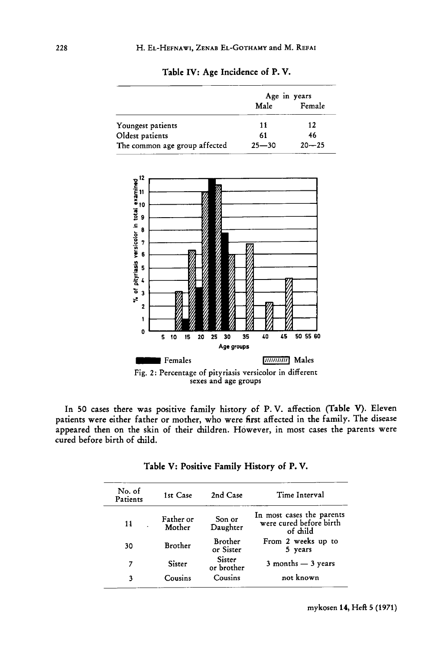|                               | Age in years |           |  |  |
|-------------------------------|--------------|-----------|--|--|
|                               | Male         | Female    |  |  |
| Youngest patients             | 11           | $12 \,$   |  |  |
| Oldest patients               | 61           | 46        |  |  |
| The common age group affected | $25 - 30$    | $20 - 25$ |  |  |





In 50 cases there was positive family history of **P.V.** affection (Table **V).** Eleven patients were either father or mother, who were first affected in the family. The disease appeared then on the skin of their children. However, in most cases the parents were cured before birth of child.

| No. of<br>Patients | 1st Case            | 2nd Case                    | Time Interval                                                    |
|--------------------|---------------------|-----------------------------|------------------------------------------------------------------|
| 14                 | Father or<br>Mother | Son or<br>Daughter          | In most cases the parents<br>were cured before birth<br>of child |
| 30                 | <b>Brother</b>      | <b>Brother</b><br>or Sister | From 2 weeks up to<br>5 years                                    |
| 7                  | Sister              | Sister<br>or brother        | $3$ months $-3$ years                                            |
|                    | Cousins             | Cousins                     | not known                                                        |

|  |  | Table V: Positive Family History of P.V. |  |  |  |  |  |  |
|--|--|------------------------------------------|--|--|--|--|--|--|
|--|--|------------------------------------------|--|--|--|--|--|--|

mykosen **14, HeR 5** (1971)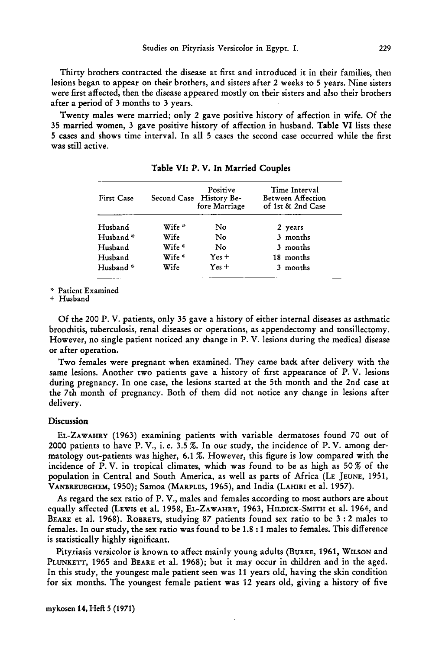Thirty brothers contracted the disease at first and introduced it in their families, then lesions began to appear on their brothers, and sisters after 2 weeks to **5** years. Nine sisters were first affected, then the disease appeared mostly on their sisters and also their brothers after a period of **3** months to **3** years.

Twenty males were married; only 2 gave positive history of affection in wife. Of the **35** married women, **3** gave positive history of affection in husband. Table VI lists these **5** cases and shows time interval. In all **5** cases the second case occurred while the first was still active.

| First Case           |                   | Positive<br>Second Case History Be-<br>fore Marriage | Time Interval<br>Between Affection<br>of 1st & 2nd Case |
|----------------------|-------------------|------------------------------------------------------|---------------------------------------------------------|
| Husband              | Wife *            | No                                                   | 2 years                                                 |
| Husband <sup>*</sup> | Wife              | No                                                   | 3 months                                                |
| Husband              | Wife <sup>*</sup> | No                                                   | 3 months                                                |
| Husband              | Wife*             | $Yes +$                                              | 18 months                                               |
| Husband*             | Wife              | $Yes +$                                              | 3 months                                                |

Table VI: **P.** V. In Married Couples

\* Patient Examined

+ Husband

Of the 200 P. V. patients, only **35** gave a history of either internal diseases **as** asthmatic bronchitis, tuberculosis, renal diseases or operations, as appendectomy and tonsillectomy. However, no single patient noticed any change in P. V. lesions during the medical disease or after operation.

Two females were pregnant when examined. They came back after delivery with the same lesions. Another two patients gave a history of first appearance of P. V. lesions during pregnancy. In one case, the lesions started at the 5th month and the 2nd case at the 7th month of pregnancy. Both of them did not notice any change in lesions after delivery.

#### **Discussion**

EL-ZAWAHRY **(1963)** examining patients with variable dermatoses found 70 out of **2000** patients to have P. V., i. e. **3.5** %. In our study, the incidence of P. V. among dermatology out-patients was higher, **6.1** %. However, this figure is low compared with the incidence of P.V. in tropical climates, which was found to be as high as **50%** of the population in Central and South America, as well as parts of Africa (LE JEUNE, **1951,**  VANBREUEGHEM, 1950); Samoa (MARPLES, **1965),** and India (LAHIRI et al. **1957).** 

As regard the sex ratio of P. V., males and females according to most authors are about equally affected (LEWIS et al. **1958,** EL-ZAWAHRY, **1963,** HILDICK-SMITH et al. **1964,** and BEARE et al. **1968).** ROBRETS, studying 87 patients found sex ratio to be **3** : 2 males to females. In our study, the sex ratio was found to be **1.8** : **1** males to females. This difference is statistically highly significant.

Pityriasis versicolor is known to affect mainly young adults (BURKE, **1961,** WILSON and PLUNKETT, **1965** and BEARE et al. **1968);** but it may occur in children and in the aged. In this study, the youngest male patient seen was **11** years old, having the skin condition for six months. The youngest female patient was **12** years old, giving a history of five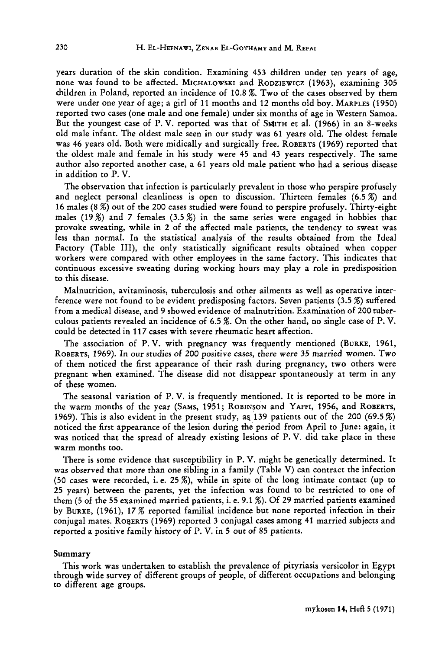years duration of the skin condition. Examining **453** children under ten years of age, none was found to be affected. MICHALOWSKI and RODZIEWICZ **(1963),** examining **305**  children in Poland, reported an incidence of **10.8** %. Two of the cases observed by them were under one year of age; a girl of **11** months and **12** months old boy. MARPLES **(1950)**  reported two cases (one male and one female) under six months of age in Western Samoa. But the youngest case of P.V. reported was that of SMITH et al. (1966) in an 8-weeks old male infant. The oldest male seen in our study was **61** years old. The oldest female was **46** years old. Both were midically and surgically free. ROBERTS **(1969)** reported that the oldest male and female in his study were **45** and **43** years respectively. The same author also reported another case, a **61** years old male patient who had a serious disease in addition to P. V.

The observation that infection is particularly prevalent in those who perspire profusely and neglect personal cleanliness is open to discussion. Thirteen females **(6.5** %) and **16** males (8 %) out of the **200** cases studied were found to perspire profusely. Thirty-eight males **(19%)** and **7** females **(3.5** %) in the same series were engaged in hobbies that provoke sweating, while in **2** of the affected male patients, the tendency to sweat was less than normal. In the statistical analysis of the results obtained from the Ideal Factory (Table 111), the only statistically significant results obtained when copper workers were compared with other employees in the same factory. This indicates that continuous excessive sweating during working hours may play a role in predisposition to this disease.

Malnutrition, avitaminosis, tuberculosis and other ailments as well as operative interference were not found to be evident predisposing factors. Seven patients **(3.5** %) suffered from a medical disease, and **9** showed evidence of malnutrition. Examination of **200** tuberculous patients revealed an incidence of **6.5** %. On the other hand, no single case of P. V. could be detected in **117** cases with severe rheumatic heart affection.

The association of P. V. with pregnancy was frequently mentioned (BURKE, **1961,**  ROBERTS, **1969).** In our studies of **200** positive cases, there were **35** married women. Two of them noticed the first appearance of their rash during pregnancy, two others were pregnant when examined. The disease did not disappear spontaneously at term in any of these women.

The seasonal variation of P.V. is frequently mentioned. It is reported to be more in the warm months of the year (SAMS, **1951;** ROBINSON and YAFFI, **1956,** and ROBERTS, **1969).** This is also evident in the present study, at **139** patients out of the **200 (69.5**  noticed the first appearance of the lesion during the period from April to June: again, it was noticed that the spread of already existing lesions of P. V. did take place in these warm months too.

There is some evidence that susceptibility in P. V. might be genetically determined. It was observed that more than one sibling in a family (Table V) can contract the infection **(50** cases were recorded, i.e. **25%),** while in spite of the long intimate contact (up to **25** years) between the parents, yet the infection was found to be restricted to one of them **(5** of the **55** examined married patients, i. e. **9.1** %). Of **29** married patients examined by BURKE, **(1961), 17** % reported familial incidence but none reported infection in their conjugal mates. ROBERTS **(1969)** reported **3** conjugal cases among **41** married subjects and reported a positive family history of P. V. in **5** out of **85** patients.

#### **Summary**

This work was undertaken to establish the prevalence of pityriasis versicolor in Egypt through wide survey of different groups of people, of different occupations and belonging to different age groups.